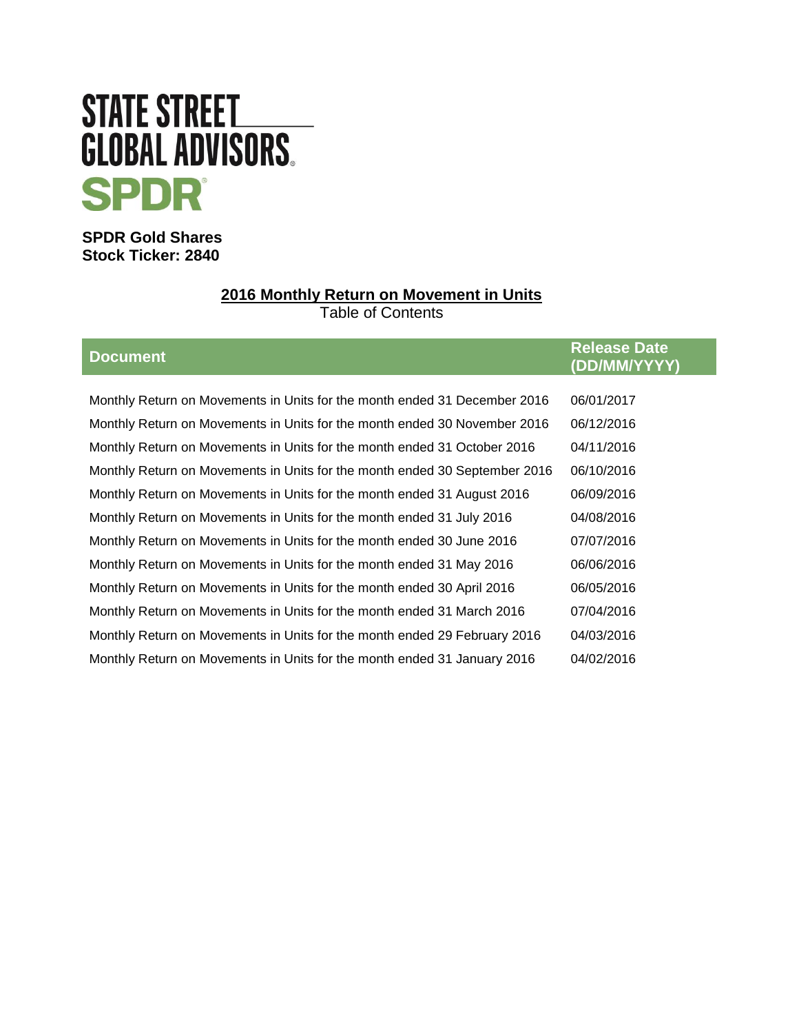# **STATE STREET GLOBAL ADVISORS SPDR**

**SPDR Gold Shares Stock Ticker: 2840**

# **2016 Monthly Return on Movement in Units**

Table of Contents

| <b>Document</b>                                                            | <b>Release Date</b><br>(DD/MM/YYYY) |
|----------------------------------------------------------------------------|-------------------------------------|
|                                                                            |                                     |
| Monthly Return on Movements in Units for the month ended 31 December 2016  | 06/01/2017                          |
| Monthly Return on Movements in Units for the month ended 30 November 2016  | 06/12/2016                          |
| Monthly Return on Movements in Units for the month ended 31 October 2016   | 04/11/2016                          |
| Monthly Return on Movements in Units for the month ended 30 September 2016 | 06/10/2016                          |
| Monthly Return on Movements in Units for the month ended 31 August 2016    | 06/09/2016                          |
| Monthly Return on Movements in Units for the month ended 31 July 2016      | 04/08/2016                          |
| Monthly Return on Movements in Units for the month ended 30 June 2016      | 07/07/2016                          |
| Monthly Return on Movements in Units for the month ended 31 May 2016       | 06/06/2016                          |
| Monthly Return on Movements in Units for the month ended 30 April 2016     | 06/05/2016                          |
| Monthly Return on Movements in Units for the month ended 31 March 2016     | 07/04/2016                          |
| Monthly Return on Movements in Units for the month ended 29 February 2016  | 04/03/2016                          |
| Monthly Return on Movements in Units for the month ended 31 January 2016   | 04/02/2016                          |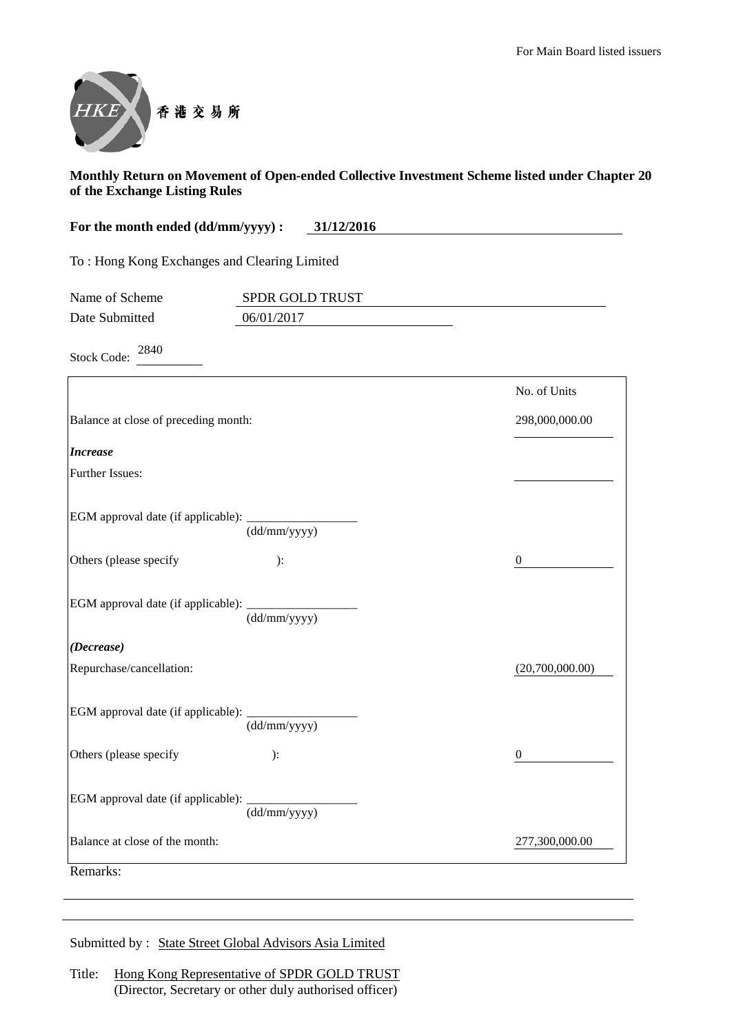

| 31/12/2016<br>For the month ended (dd/mm/yyyy) : |                                              |                |  |
|--------------------------------------------------|----------------------------------------------|----------------|--|
|                                                  | To: Hong Kong Exchanges and Clearing Limited |                |  |
| Name of Scheme                                   | SPDR GOLD TRUST                              |                |  |
| Date Submitted                                   | 06/01/2017                                   |                |  |
| 2840<br><b>Stock Code:</b>                       |                                              |                |  |
|                                                  |                                              | No. of Units   |  |
| Balance at close of preceding month:             |                                              | 298,000,000.00 |  |
| <i><b>Increase</b></i>                           |                                              |                |  |

| Further Issues: |  |
|-----------------|--|
|-----------------|--|

EGM approval date (if applicable): (dd/mm/yyyy)

Others (please specify ): 0

| EGM approval date (if applicable): |              |
|------------------------------------|--------------|
|                                    | (dd/mm/yyyy) |

*(Decrease)*

| Repurchase/cancellation: | (20,700,000.00) |
|--------------------------|-----------------|

| EGM approval date (if applicable): _ |  |  |
|--------------------------------------|--|--|

| $\mu$ approval date (if applicable). | (dd/mm/yyyy) |  |
|--------------------------------------|--------------|--|
| ners (please specify                 |              |  |

| Others (please specify                    |              |                |
|-------------------------------------------|--------------|----------------|
| <b>EGM</b> approval date (if applicable): | (dd/mm/yyyy) |                |
| Balance at close of the month:            |              | 277,300,000.00 |

Remarks:

| Submitted by: State Street Global Advisors Asia Limited |
|---------------------------------------------------------|
|---------------------------------------------------------|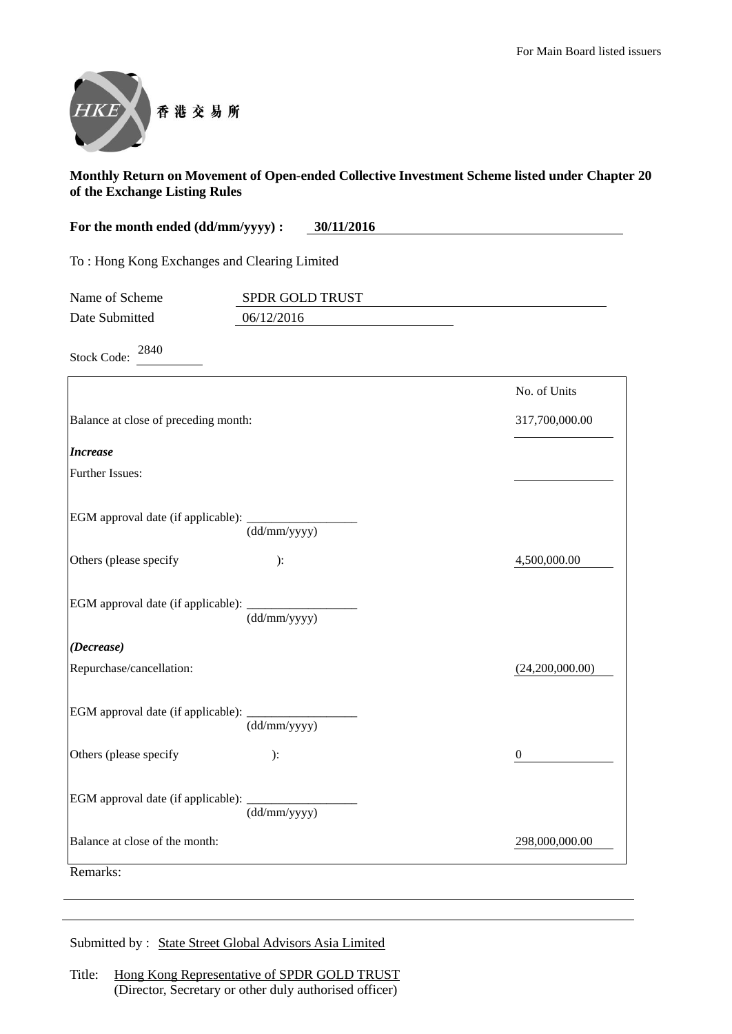

| For the month ended (dd/mm/yyyy) :           | 30/11/2016             |  |
|----------------------------------------------|------------------------|--|
| To: Hong Kong Exchanges and Clearing Limited |                        |  |
| Name of Scheme                               | <b>SPDR GOLD TRUST</b> |  |
| Date Submitted                               | 06/12/2016             |  |

Stock Code: 2840

|                                               |                                | No. of Units    |
|-----------------------------------------------|--------------------------------|-----------------|
| Balance at close of preceding month:          |                                | 317,700,000.00  |
| <b>Increase</b>                               |                                |                 |
| <b>Further Issues:</b>                        |                                |                 |
| EGM approval date (if applicable): _______    | $\frac{1}{(dd/mm/yyyy)}$       |                 |
| Others (please specify                        | ):                             | 4,500,000.00    |
| EGM approval date (if applicable): _______    | $\overline{(dd/mm/yyyy)}$      |                 |
| (Decrease)                                    |                                |                 |
| Repurchase/cancellation:                      |                                | (24,200,000.00) |
| EGM approval date (if applicable): __________ | (dd/mm/yyyy)                   |                 |
| Others (please specify                        | ):                             | $\mathbf{0}$    |
|                                               | (dd/mm/yyyy)                   |                 |
|                                               | Balance at close of the month: | 298,000,000.00  |

Submitted by : State Street Global Advisors Asia Limited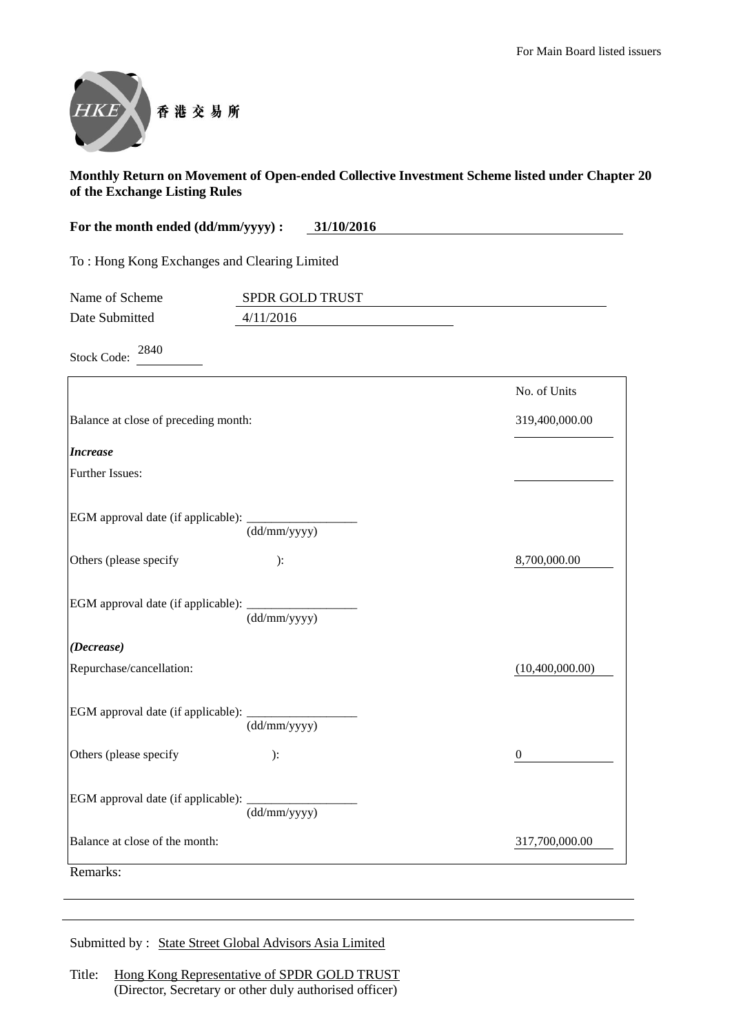

| For the month ended (dd/mm/yyyy) :           | 31/10/2016 |
|----------------------------------------------|------------|
| To: Hong Kong Exchanges and Clearing Limited |            |

| Name of Scheme | <b>SPDR GOLD TRUST</b> |  |
|----------------|------------------------|--|
| Date Submitted | 4/11/2016              |  |
|                |                        |  |

Stock Code: <sup>2840</sup>

|                                                   |                                 | No. of Units    |
|---------------------------------------------------|---------------------------------|-----------------|
| Balance at close of preceding month:              |                                 | 319,400,000.00  |
| <b>Increase</b>                                   |                                 |                 |
| Further Issues:                                   |                                 |                 |
| EGM approval date (if applicable): ______________ | $\frac{1}{(dd/mm/yyyy)}$        |                 |
| Others (please specify                            | ):                              | 8,700,000.00    |
| EGM approval date (if applicable): _______        | $\overline{\text{(dd/mm/yyy)}}$ |                 |
| (Decrease)                                        |                                 |                 |
| Repurchase/cancellation:                          |                                 | (10,400,000.00) |
| EGM approval date (if applicable):                | (dd/mm/yyyy)                    |                 |
| Others (please specify                            | ):                              | $\theta$        |
|                                                   | (dd/mm/yyyy)                    |                 |
| Balance at close of the month:                    |                                 | 317,700,000.00  |
| Remarks:                                          |                                 |                 |

Submitted by : State Street Global Advisors Asia Limited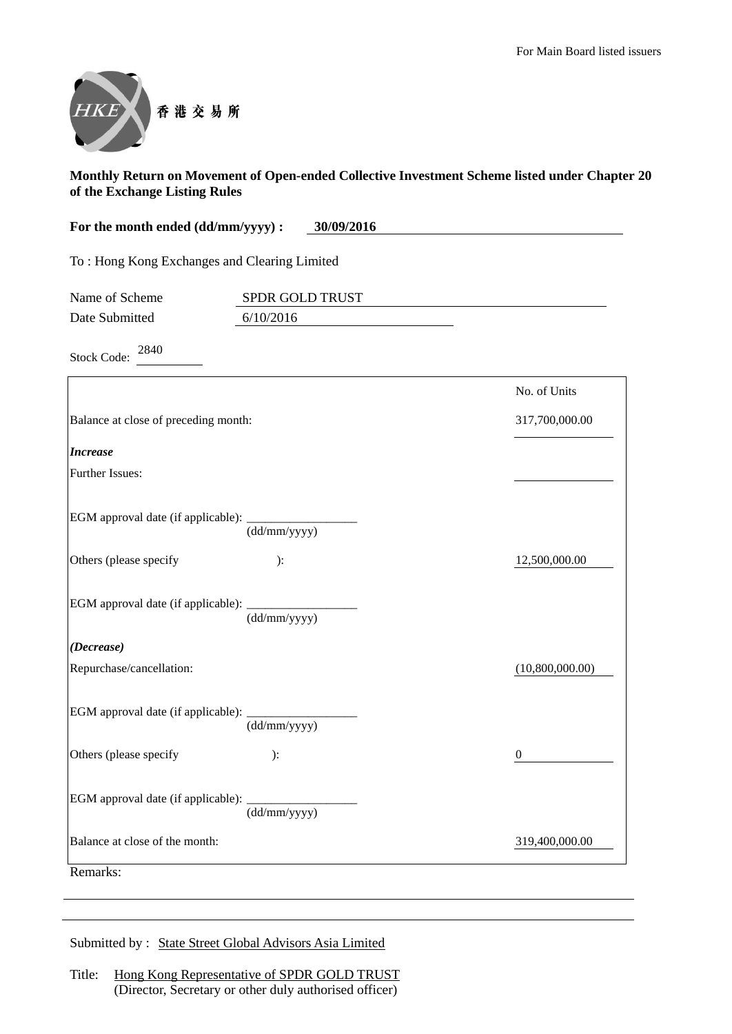

| For the month ended (dd/mm/yyyy) :               | 30/09/2016                      |                  |
|--------------------------------------------------|---------------------------------|------------------|
| To: Hong Kong Exchanges and Clearing Limited     |                                 |                  |
| Name of Scheme                                   | SPDR GOLD TRUST                 |                  |
| Date Submitted                                   | 6/10/2016                       |                  |
| 2840<br><b>Stock Code:</b>                       |                                 |                  |
|                                                  |                                 | No. of Units     |
| Balance at close of preceding month:             |                                 | 317,700,000.00   |
| <b>Increase</b>                                  |                                 |                  |
| <b>Further Issues:</b>                           |                                 |                  |
|                                                  | (dd/mm/yyyy)                    |                  |
| Others (please specify                           | ):                              | 12,500,000.00    |
| EGM approval date (if applicable): __________    | $\overline{\text{(dd/mm/yyy)}}$ |                  |
| (Decrease)                                       |                                 |                  |
| Repurchase/cancellation:                         |                                 | (10,800,000.00)  |
| EGM approval date (if applicable): _____________ | (dd/mm/yyyy)                    |                  |
| Others (please specify                           | ):                              | $\boldsymbol{0}$ |

Submitted by : State Street Global Advisors Asia Limited

(dd/mm/yyyy)

Balance at close of the month: 319,400,000.00

EGM approval date (if applicable):

Remarks: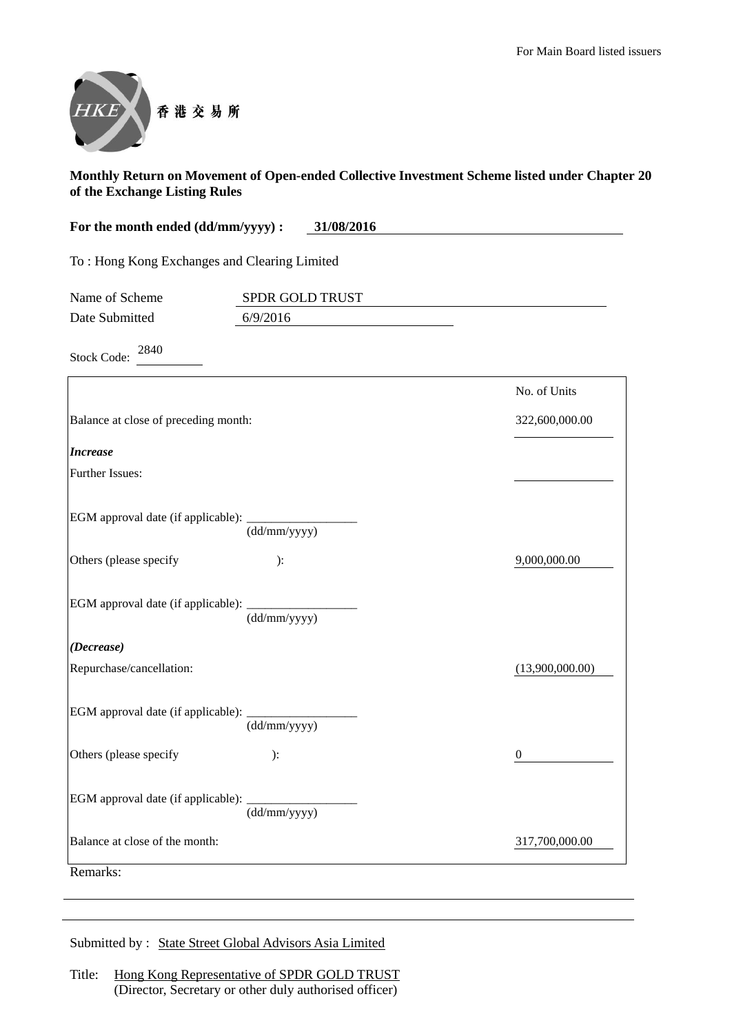$(13,900,000.00)$ 



#### **Monthly Return on Movement of Open-ended Collective Investment Scheme listed under Chapter 20 of the Exchange Listing Rules**

| For the month ended (dd/mm/yyyy) :           | 31/08/2016             |                |
|----------------------------------------------|------------------------|----------------|
| To: Hong Kong Exchanges and Clearing Limited |                        |                |
| Name of Scheme                               | <b>SPDR GOLD TRUST</b> |                |
| Date Submitted                               | 6/9/2016               |                |
| 2840<br><b>Stock Code:</b>                   |                        |                |
|                                              |                        | No. of Units   |
| Balance at close of preceding month:         |                        | 322,600,000.00 |
| <b>Increase</b>                              |                        |                |
| <b>Further Issues:</b>                       |                        |                |
|                                              |                        |                |
|                                              | (dd/mm/yyyy)           |                |
| Others (please specify                       | ):                     | 9,000,000.00   |
|                                              |                        |                |

EGM approval date (if applicable): (dd/mm/yyyy)

| (Decrease)               |
|--------------------------|
| Repurchase/cancellation: |
|                          |

| EGM approval date (if applicable): |              |  |
|------------------------------------|--------------|--|
|                                    | (dd/mm/yyyy) |  |
| Others (please specify)            | ):           |  |

Others (please specify ): 0 EGM approval date (if applicable): (dd/mm/yyyy) Balance at close of the month: 317,700,000.00

Remarks:

Submitted by : State Street Global Advisors Asia Limited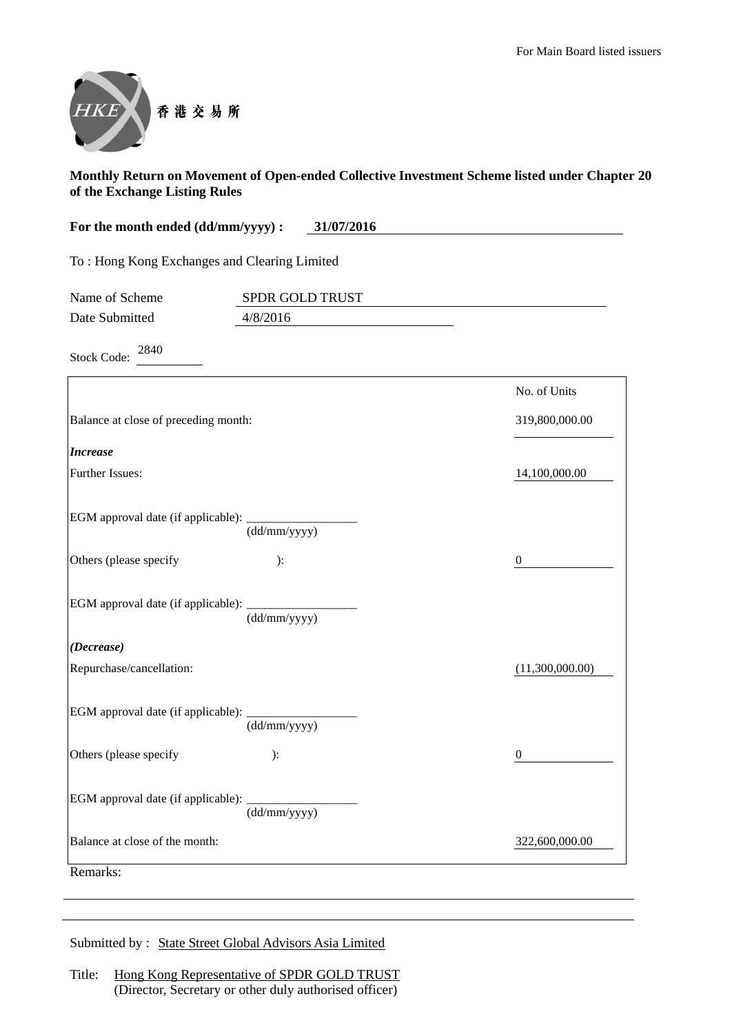

| For the month ended (dd/mm/yyyy) :           | 31/07/2016 |
|----------------------------------------------|------------|
| To: Hong Kong Exchanges and Clearing Limited |            |
|                                              |            |

| Name of Scheme | <b>SPDR GOLD TRUST</b> |  |
|----------------|------------------------|--|
| Date Submitted | 4/8/2016               |  |
|                |                        |  |

Stock Code: <sup>2840</sup>

|                                                  |                                  | No. of Units     |
|--------------------------------------------------|----------------------------------|------------------|
| Balance at close of preceding month:             |                                  | 319,800,000.00   |
| <b>Increase</b>                                  |                                  |                  |
| <b>Further Issues:</b>                           |                                  | 14,100,000.00    |
| EGM approval date (if applicable): _____________ | $\frac{1}{(dd/mm/yyyy)}$         |                  |
| Others (please specify                           | ):                               | $\boldsymbol{0}$ |
| EGM approval date (if applicable): _______       | $\overline{\text{(dd/mm/yyyy)}}$ |                  |
| (Decrease)                                       |                                  |                  |
| Repurchase/cancellation:                         |                                  | (11,300,000.00)  |
| EGM approval date (if applicable): ________      | $\overline{\text{(dd/mm/yyyy)}}$ |                  |
| Others (please specify                           | ):                               | $\theta$         |
|                                                  | (dd/mm/yyy)                      |                  |
| Balance at close of the month:                   |                                  | 322,600,000.00   |
| Remarks:                                         |                                  |                  |

Submitted by : State Street Global Advisors Asia Limited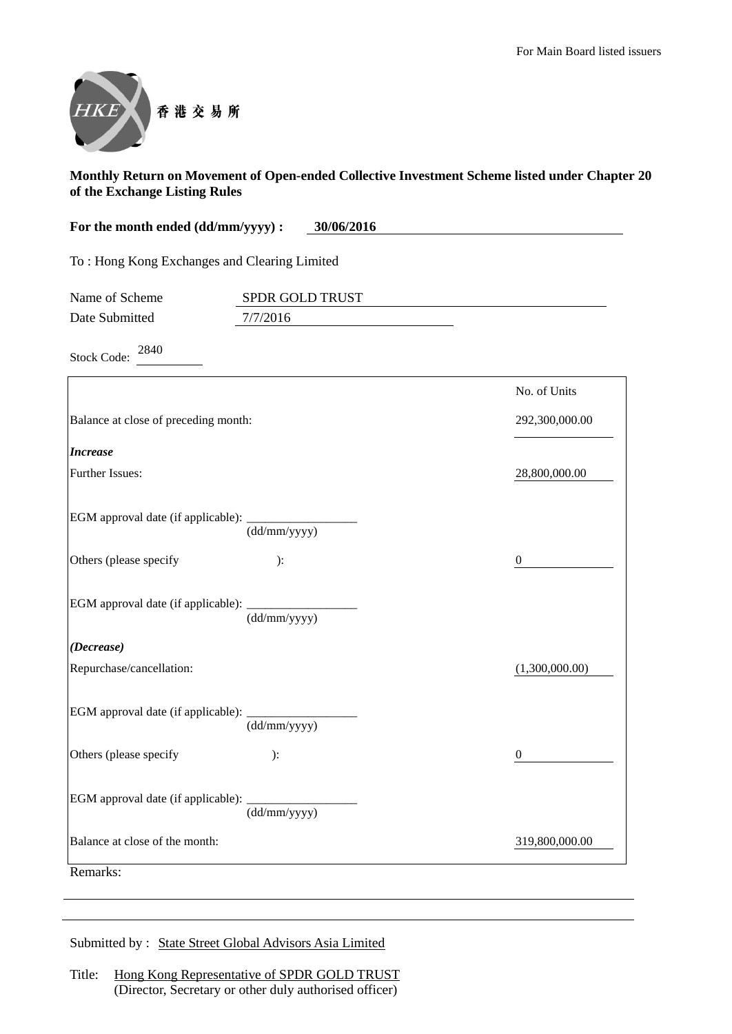

| For the month ended (dd/mm/yyyy) :           | 30/06/2016 |
|----------------------------------------------|------------|
| To: Hong Kong Exchanges and Clearing Limited |            |

| Name of Scheme | <b>SPDR GOLD TRUST</b> |  |
|----------------|------------------------|--|
| Date Submitted | 7/7/2016               |  |

Stock Code: <sup>2840</sup>

|                                                  |                           | No. of Units     |
|--------------------------------------------------|---------------------------|------------------|
| Balance at close of preceding month:             |                           | 292,300,000.00   |
| <b>Increase</b>                                  |                           |                  |
| <b>Further Issues:</b>                           |                           | 28,800,000.00    |
|                                                  | $\frac{1}{(dd/mm/yyyy)}$  |                  |
| Others (please specify                           | ):                        | $\boldsymbol{0}$ |
| EGM approval date (if applicable): _____________ | $(dd/\overline{mm/yyyy})$ |                  |
| (Decrease)                                       |                           |                  |
| Repurchase/cancellation:                         |                           | (1,300,000.00)   |
| EGM approval date (if applicable): ________      | (dd/mm/yyyy)              |                  |
| Others (please specify                           | ):                        | 0                |
|                                                  | (dd/mm/yyyy)              |                  |
| Balance at close of the month:                   |                           | 319,800,000.00   |

Submitted by : State Street Global Advisors Asia Limited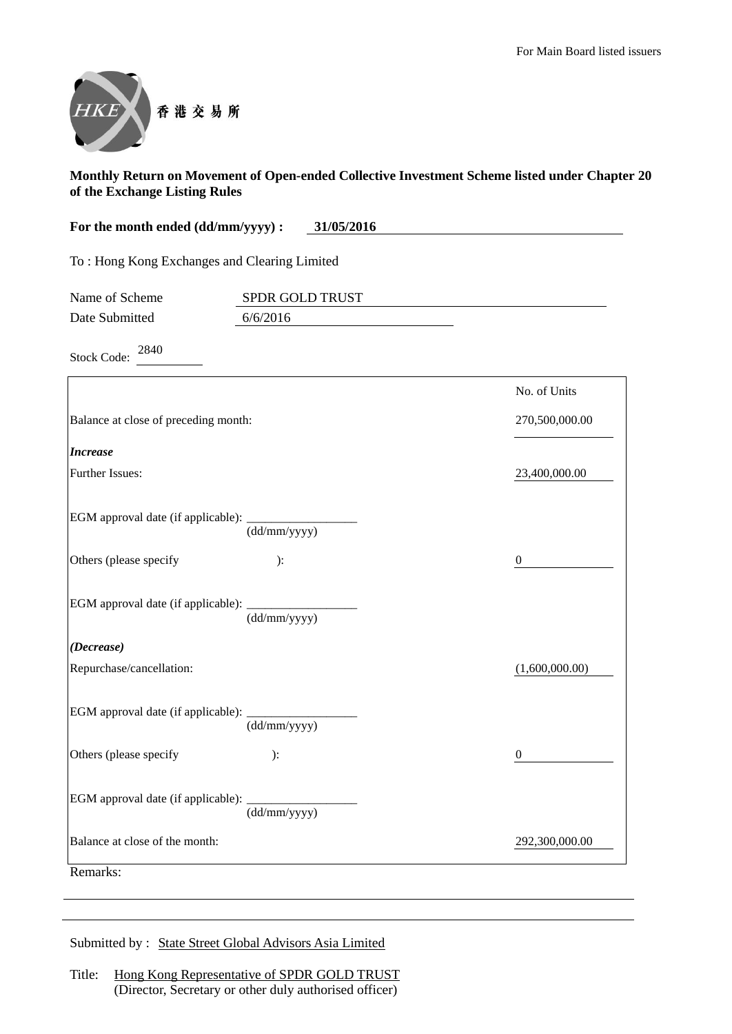

| For the month ended (dd/mm/yyyy) :           | 31/05/2016 |
|----------------------------------------------|------------|
| To: Hong Kong Exchanges and Clearing Limited |            |

| Name of Scheme | <b>SPDR GOLD TRUST</b> |
|----------------|------------------------|
| Date Submitted | 6/6/2016               |

Stock Code: <sup>2840</sup>

|                                            |                          | No. of Units   |
|--------------------------------------------|--------------------------|----------------|
| Balance at close of preceding month:       |                          | 270,500,000.00 |
| <b>Increase</b>                            |                          |                |
| Further Issues:                            |                          | 23,400,000.00  |
|                                            | $\frac{1}{(dd/mm/yyyy)}$ |                |
| Others (please specify                     | ):                       | $\overline{0}$ |
| EGM approval date (if applicable): _______ | (dd/mm/yyyy)             |                |
| (Decrease)                                 |                          |                |
| Repurchase/cancellation:                   |                          | (1,600,000.00) |
| EGM approval date (if applicable): _______ | (dd/mm/yyyy)             |                |
| Others (please specify                     | ):                       | $\mathbf{0}$   |
|                                            | (dd/mm/yyyy)             |                |
| Balance at close of the month:             |                          | 292,300,000.00 |
| Remarks:                                   |                          |                |

Submitted by : State Street Global Advisors Asia Limited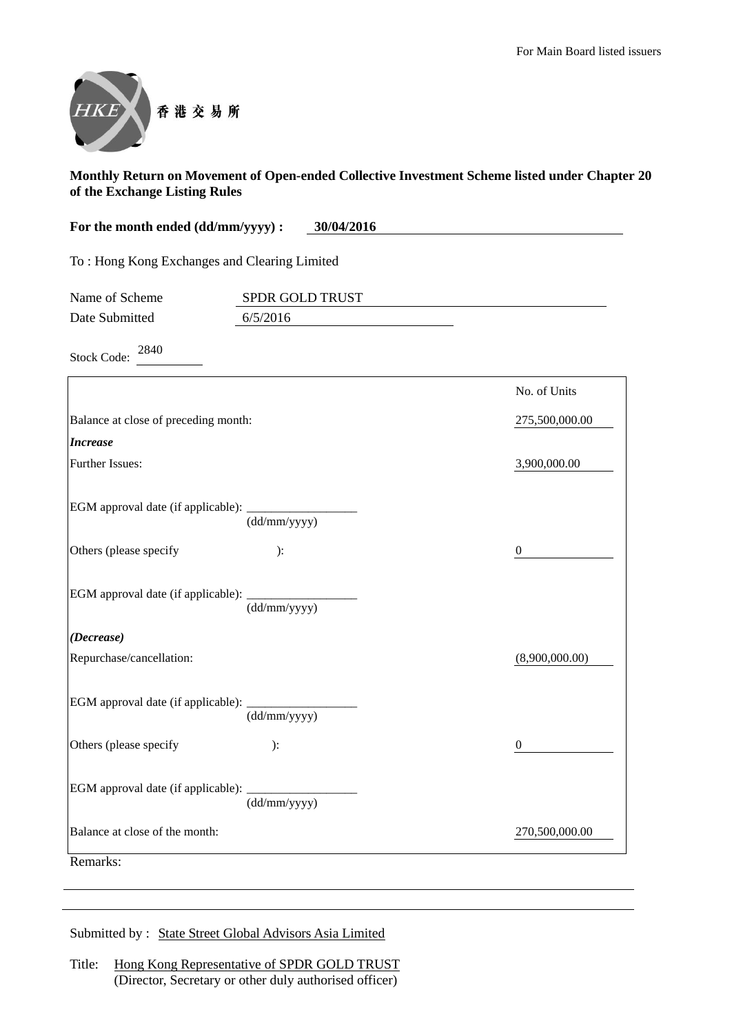

| For the month ended (dd/mm/yyyy) :           | 30/04/2016      |                  |
|----------------------------------------------|-----------------|------------------|
| To: Hong Kong Exchanges and Clearing Limited |                 |                  |
| Name of Scheme                               | SPDR GOLD TRUST |                  |
| Date Submitted                               | 6/5/2016        |                  |
| 2840<br><b>Stock Code:</b>                   |                 |                  |
|                                              |                 | No. of Units     |
| Balance at close of preceding month:         |                 | 275,500,000.00   |
| <b>Increase</b>                              |                 |                  |
| Further Issues:                              |                 | 3,900,000.00     |
| EGM approval date (if applicable): ________  | (dd/mm/yyyy)    |                  |
| Others (please specify                       | ):              | $\theta$         |
| EGM approval date (if applicable): _______   | (dd/mm/yyyy)    |                  |
| (Decrease)                                   |                 |                  |
| Repurchase/cancellation:                     |                 | (8,900,000.00)   |
| EGM approval date (if applicable):           | (dd/mm/yyyy)    |                  |
| Others (please specify                       | ):              | $\boldsymbol{0}$ |
| EGM approval date (if applicable): ________  | (dd/mm/yyyy)    |                  |
| Balance at close of the month:               |                 | 270,500,000.00   |
| Remarks:                                     |                 |                  |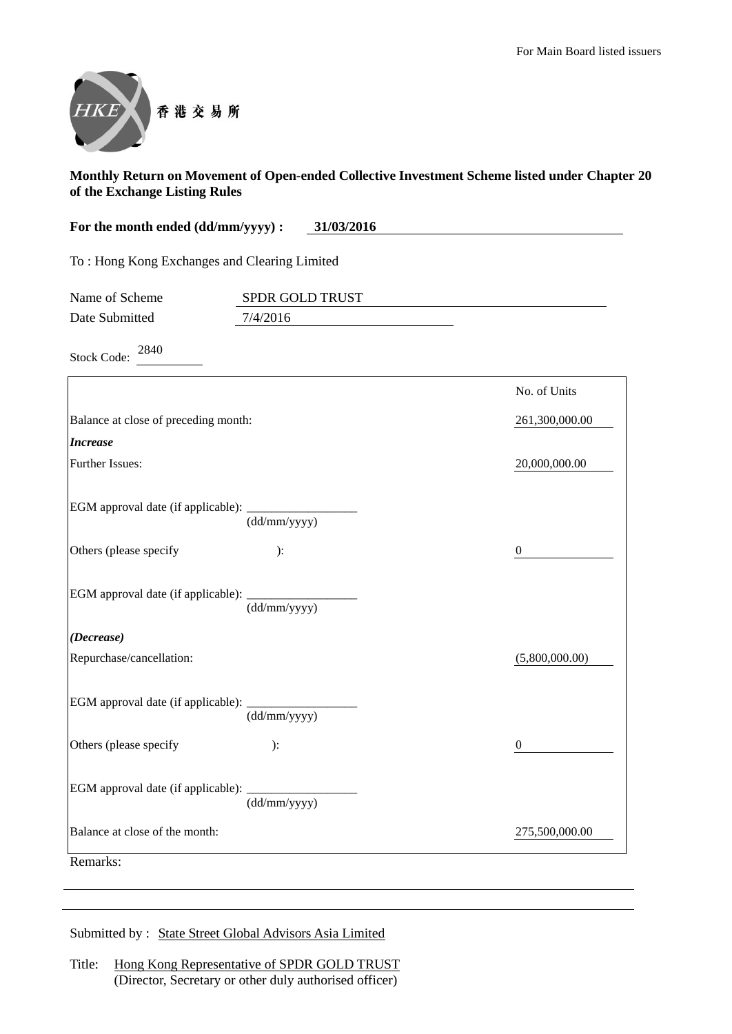

| For the month ended (dd/mm/yyyy) :<br>31/03/2016 |                 |                |
|--------------------------------------------------|-----------------|----------------|
| To: Hong Kong Exchanges and Clearing Limited     |                 |                |
| Name of Scheme                                   | SPDR GOLD TRUST |                |
| Date Submitted                                   | 7/4/2016        |                |
| 2840<br><b>Stock Code:</b>                       |                 |                |
|                                                  |                 | No. of Units   |
| Balance at close of preceding month:             |                 | 261,300,000.00 |
| <b>Increase</b>                                  |                 |                |
| <b>Further Issues:</b>                           |                 | 20,000,000.00  |
|                                                  | (dd/mm/yyyy)    |                |
| Others (please specify                           | ):              | $\overline{0}$ |
|                                                  | (dd/mm/yyyy)    |                |
| (Decrease)                                       |                 |                |
| Repurchase/cancellation:                         |                 | (5,800,000.00) |
| EGM approval date (if applicable): __________    |                 |                |

(dd/mm/yyyy) Others (please specify ): 0 EGM approval date (if applicable): \_\_\_\_\_\_\_\_\_\_\_\_\_\_\_\_\_\_ (dd/mm/yyyy) Balance at close of the month: 275,500,000.00 Remarks: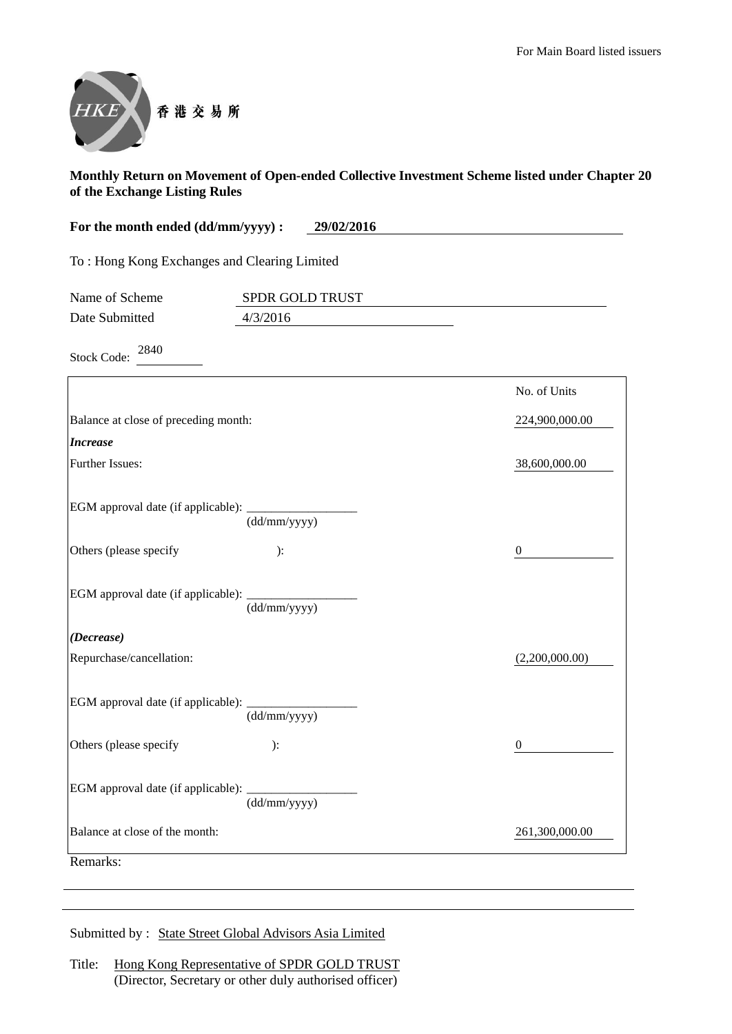

| For the month ended (dd/mm/yyyy) :<br>29/02/2016            |                 |                  |
|-------------------------------------------------------------|-----------------|------------------|
| To: Hong Kong Exchanges and Clearing Limited                |                 |                  |
| Name of Scheme                                              | SPDR GOLD TRUST |                  |
| Date Submitted                                              | 4/3/2016        |                  |
| 2840<br><b>Stock Code:</b>                                  |                 |                  |
|                                                             |                 | No. of Units     |
| Balance at close of preceding month:                        |                 | 224,900,000.00   |
| <b>Increase</b>                                             |                 |                  |
| <b>Further Issues:</b>                                      |                 | 38,600,000.00    |
| EGM approval date (if applicable): ______                   | (dd/mm/yyyy)    |                  |
| Others (please specify                                      | ):              | $\bf{0}$         |
| EGM approval date (if applicable):                          | (dd/mm/yyyy)    |                  |
| (Decrease)                                                  |                 |                  |
| Repurchase/cancellation:                                    |                 | (2,200,000.00)   |
| EGM approval date (if applicable):                          | (dd/mm/yyyy)    |                  |
| Others (please specify                                      | ):              | $\boldsymbol{0}$ |
| EGM approval date (if applicable): $\frac{1}{(dd/mm/yyyy)}$ |                 |                  |
| Balance at close of the month:                              |                 | 261,300,000.00   |

Remarks: